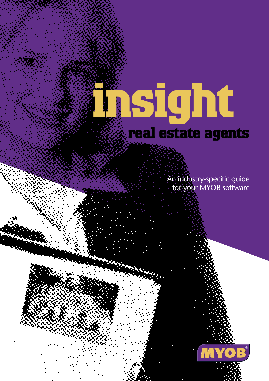# **insight real estate agents**

An industry-specific guide for your MYOB software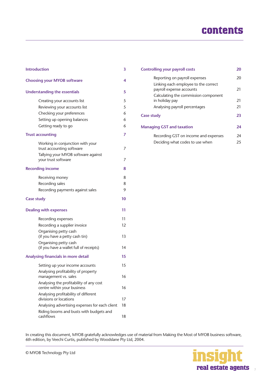# **contents**

| <b>Introduction</b>                                                    |    |  |
|------------------------------------------------------------------------|----|--|
| <b>Choosing your MYOB software</b>                                     | 4  |  |
| <b>Understanding the essentials</b>                                    | 5  |  |
| Creating your accounts list                                            | 5  |  |
| Reviewing your accounts list                                           | 5  |  |
| Checking your preferences                                              | 6  |  |
| Setting up opening balances                                            | 6  |  |
| Getting ready to go                                                    | 6  |  |
| <b>Trust accounting</b>                                                | 7  |  |
| Working in conjunction with your                                       |    |  |
| trust accounting software                                              | 7  |  |
| Tallying your MYOB software against                                    |    |  |
| your trust software                                                    | 7  |  |
| <b>Recording income</b>                                                | 8  |  |
| Receiving money                                                        | 8  |  |
| Recording sales                                                        | 8  |  |
| Recording payments against sales                                       | 9  |  |
| <b>Case study</b>                                                      | 10 |  |
| <b>Dealing with expenses</b>                                           | 11 |  |
| Recording expenses                                                     | 11 |  |
| Recording a supplier invoice                                           | 12 |  |
| Organising petty cash                                                  |    |  |
| (if you have a petty cash tin)                                         | 13 |  |
| Organising petty cash                                                  |    |  |
| (if you have a wallet full of receipts)                                | 14 |  |
| Analysing financials in more detail                                    | 15 |  |
| Setting up your income accounts                                        | 15 |  |
| Analysing profitability of property<br>management vs. sales            | 16 |  |
| Analysing the profitability of any cost<br>centre within your business | 16 |  |
| Analysing profitability of different                                   |    |  |
| divisions or locations                                                 | 17 |  |
| Analysing advertising expenses for each client                         | 18 |  |
| Riding booms and busts with budgets and<br>cashflows                   | 18 |  |

| 20       |
|----------|
| 20       |
| 21       |
| 21       |
| 21       |
| 23       |
| 24       |
| 24<br>25 |
|          |

In creating this document, MYOB gratefully acknowledges use of material from Making the Most of MYOB business software, 6th edition, by Veechi Curtis, published by Woodslane Pty Ltd, 2004.

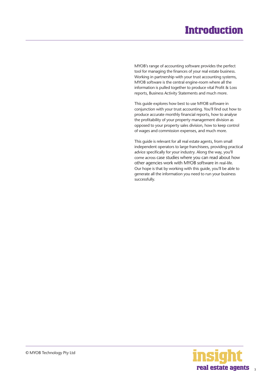# **Introduction**

<span id="page-2-0"></span>MYOB's range of accounting software provides the perfect tool for managing the finances of your real estate business. Working in partnership with your trust accounting systems, MYOB software is the central engine-room where all the information is pulled together to produce vital Profit & Loss reports, Business Activity Statements and much more.

This guide explores how best to use MYOB software in conjunction with your trust accounting. You'll find out how to produce accurate monthly financial reports, how to analyse the profitability of your property management division as opposed to your property sales division, how to keep control of wages and commission expenses, and much more.

This guide is relevant for all real estate agents, from small independent operators to large franchisees, providing practical advice specifically for your industry. Along the way, you'll come across case studies where you can read about how other agencies work with MYOB software in real-life. Our hope is that by working with this guide, you'll be able to generate all the information you need to run your business successfully.

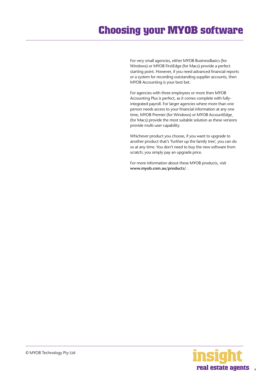# <span id="page-3-0"></span>**Choosing your MYOB software**

For very small agencies, either MYOB BusinessBasics (for Windows) or MYOB FirstEdge (for Macs) provide a perfect starting point. However, if you need advanced financial reports or a system for recording outstanding supplier accounts, then MYOB Accounting is your best bet.

For agencies with three employees or more then MYOB Accounting Plus is perfect, as it comes complete with fullyintegrated payroll. For larger agencies where more than one person needs access to your financial information at any one time, MYOB Premier (for Windows) or MYOB AccountEdge (for Macs) provide the most suitable solution as these versions provide multi-user capability.

Whichever product you choose, if you want to upgrade to another product that's 'further up the family tree', you can do so at any time. You don't need to buy the new software from scratch; you simply pay an upgrade price.

For more information about these MYOB products, visit **www.myob.com.au/products/** .

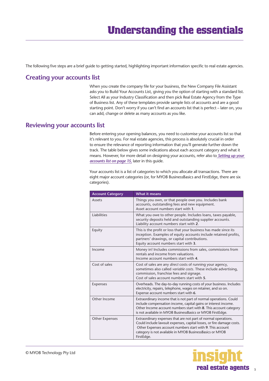<span id="page-4-0"></span>The following five steps are a brief guide to getting started, highlighting important information specific to real estate agencies.

## **Creating your accounts list**

When you create the company file for your business, the New Company File Assistant asks you to Build Your Accounts List, giving you the option of starting with a standard list. Select All as your Industry Classification and then pick Real Estate Agency from the Type of Business list. Any of these templates provide sample lists of accounts and are a good starting point. Don't worry if you can't find an accounts list that is perfect – later on, you can add, change or delete as many accounts as you like.

## **Reviewing your accounts list**

Before entering your opening balances, you need to customise your accounts list so that it's relevant to you. For real estate agencies, this process is absolutely crucial in order to ensure the relevance of reporting information that you'll generate further down the track. The table below gives some indications about each account category and what it means. However, for more detail on designing your accounts, refer also to *[Setting up your](#page-14-0)  [accounts list on page 15,](#page-14-0)* later in this guide.

Your accounts list is a list of categories to which you allocate all transactions. There are eight major account categories (or, for MYOB BusinessBasics and FirstEdge, there are six categories).

| <b>Account Category</b> | <b>What it means</b>                                                                                                                                                                                                                                                           |
|-------------------------|--------------------------------------------------------------------------------------------------------------------------------------------------------------------------------------------------------------------------------------------------------------------------------|
| Assets                  | Things you own, or that people owe you. Includes bank<br>accounts, outstanding fees and new equipment.<br>Asset account numbers start with 1.                                                                                                                                  |
| Liabilities             | What you owe to other people. Includes loans, taxes payable,<br>security deposits held and outstanding supplier accounts.<br>Liability account numbers start with 2.                                                                                                           |
| Equity                  | This is the profit or loss that your business has made since its<br>inception. Examples of equity accounts include retained profits,<br>partners' drawings, or capital contributions.<br>Equity account numbers start with 3.                                                  |
| Income                  | Money in! Includes commissions from sales, commissions from<br>rentals and income from valuations.<br>Income account numbers start with 4.                                                                                                                                     |
| Cost of sales           | Cost of sales are any direct costs of running your agency,<br>sometimes also called variable costs. These include advertising,<br>commission, franchise fees and signage.<br>Cost of sales account numbers start with 5.                                                       |
| Expenses                | Overheads. The day-to-day running costs of your business. Includes<br>electricity, repairs, telephone, wages on retainer, and so on.<br>Expense account numbers start with 6.                                                                                                  |
| Other Income            | Extraordinary income that is not part of normal operations. Could<br>include compensation income, capital gains or interest income.<br>Other Income account numbers start with 8. This account category<br>is not available in MYOB BusinessBasics or MYOB FirstEdge.          |
| <b>Other Expenses</b>   | Extraordinary expenses that are not part of normal operations.<br>Could include lawsuit expenses, capital losses, or fire damage costs.<br>Other Expenses account numbers start with 9. This account<br>category is not available in MYOB BusinessBasics or MYOB<br>FirstEdge. |

5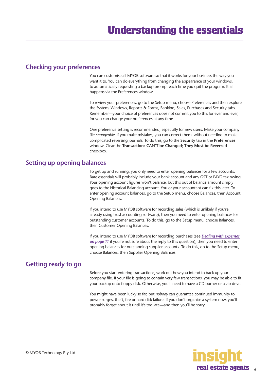## <span id="page-5-0"></span>**Checking your preferences**

You can customise all MYOB software so that it works for your business the way you want it to. You can do everything from changing the appearance of your windows, to automatically requesting a backup prompt each time you quit the program. It all happens via the Preferences window.

To review your preferences, go to the Setup menu, choose Preferences and then explore the System, Windows, Reports & Forms, Banking, Sales, Purchases and Security tabs. Remember—your choice of preferences does not commit you to this for ever and ever, for you can change your preferences at any time.

One preference setting is recommended, especially for new users. Make your company file *changeable*. If you make mistakes, you can correct them, without needing to make complicated reversing journals. To do this, go to the **Security** tab in the **Preferences** window. Clear the **Transactions CAN'T be Changed; They Must be Reversed**  checkbox.

#### **Setting up opening balances**

To get up and running, you only need to enter opening balances for a few accounts. Bare essentials will probably include your bank account and any GST or PAYG tax owing. Your opening account figures won't balance, but this out of balance amount simply goes to the Historical Balancing account. You or your accountant can fix this later. To enter opening account balances, go to the Setup menu, choose Balances, then Account Opening Balances.

If you intend to use MYOB software for recording sales (which is unlikely if you're already using trust accounting software), then you need to enter opening balances for outstanding customer accounts. To do this, go to the Setup menu, choose Balances, then Customer Opening Balances.

If you intend to use MYOB software for recording purchases (see *[Dealing with expenses](#page-10-0)  [on page 11](#page-10-0)* if you're not sure about the reply to this question), then you need to enter opening balances for outstanding supplier accounts. To do this, go to the Setup menu, choose Balances, then Supplier Opening Balances.

# **Getting ready to go**

Before you start entering transactions, work out how you intend to back up your company file. If your file is going to contain very few transactions, you may be able to fit your backup onto floppy disk. Otherwise, you'll need to have a CD burner or a zip drive.

You might have been lucky so far, but *nobody* can guarantee continued immunity to power surges, theft, fire or hard disk failure. If you don't organise a system now, you'll probably forget about it until it's too late—and then you'll be sorry.

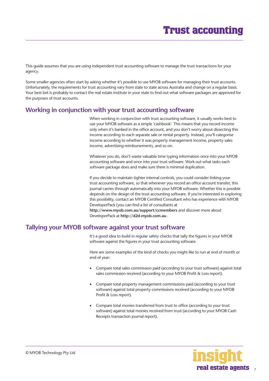# **Trust accounting**

<span id="page-6-0"></span>This guide assumes that you are using independent trust accounting software to manage the trust transactions for your agency.

Some smaller agencies often start by asking whether it's possible to use MYOB software for managing their trust accounts. Unfortunately, the requirements for trust accounting vary from state to state across Australia and change on a regular basis. Your best bet is probably to contact the real estate institute in your state to find out what software packages are approved for the purposes of trust accounts.

#### **Working in conjunction with your trust accounting software**

When working in conjunction with trust accounting software, it usually works best to use your MYOB software as a simple 'cashbook'. This means that you record income only when it's banked in the office account, and you don't worry about dissecting this income according to each separate sale or rental property. Instead, you'll categorise income according to whether it was property management income, property sales income, advertising reimbursements, and so on.

Whatever you do, don't waste valuable time typing information once into your MYOB accounting software and once into your trust software. Work out what tasks each software package does and make sure there is minimal duplication.

If you decide to maintain tighter internal controls, you could consider linking your trust accounting software, so that whenever you record an office account transfer, this journal carries through automatically into your MYOB software. Whether this is possible depends on the design of the trust accounting software. If you're interested in exploring this possibility, contact an MYOB Certified Consultant who has experience with MYOB DeveloperPack (you can find a list of consultants at

**http://www.myob.com.au/support/ccmembers** and discover more about DeveloperPack at **http://d2d.myob.com.au** .

#### **Tallying your MYOB software against your trust software**

It's a good idea to build in regular safety checks that tally the figures in your MYOB software against the figures in your trust accounting software.

Here are some examples of the kind of checks you might like to run at end of month or end of year:

- Compare total sales commission paid (according to your trust software) against total sales commission received (according to your MYOB Profit & Loss report).
- Compare total property management commissions paid (according to your trust software) against total property commissions received (according to your MYOB Profit & Loss report).
- Compare total monies transferred from trust to office (according to your trust software) against total monies received from trust (according to your MYOB Cash Receipts transaction journal report).

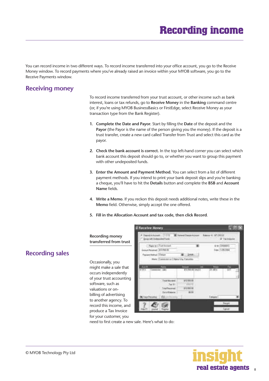# **Recording income**

<span id="page-7-0"></span>You can record income in two different ways. To record income transferred into your office account, you go to the Receive Money window. To record payments where you've already raised an invoice within your MYOB software, you go to the Receive Payments window.

# **Receiving money**

To record income transferred from your trust account, or other income such as bank interest, loans or tax refunds, go to **Receive Money** in the **Banking** command centre (or, if you're using MYOB BusinessBasics or FirstEdge, select Receive Money as your transaction type from the Bank Register).

- **1. Complete the Date and Payor.** Start by filling the **Date** of the deposit and the **Payor** (the Payor is the name of the person giving you the money). If the deposit is a trust transfer, create a new card called Transfer from Trust and select this card as the payor.
- **2. Check the bank account is correct.** In the top left-hand corner you can select which bank account this deposit should go to, or whether you want to group this payment with other undeposited funds.
- **3. Enter the Amount and Payment Method.** You can select from a list of different payment methods. If you intend to print your bank deposit slips and you're banking a cheque, you'll have to hit the **Details** button and complete the **BSB** and **Account Name** fields.
- **4. Write a Memo**. If you reckon this deposit needs additional notes, write these in the **Memo** field. Otherwise, simply accept the one offered.
- **5. Fill in the Allocation Account and tax code, then click Record**.

#### **Recording money transferred from trust**

# **Recording sales**

Occasionally, you might make a sale that occurs independently of your trust accounting software, such as valuations or onbilling of advertising to another agency. To record this income, and produce a Tax Invoice for your customer, you

| TIME<br>moved to degrees<br>and with Lindscore Hunde                                                          | <b>Bill Europe &amp; Disposar A</b> | <b>Battery W. \$75,900 W.</b><br>U Talmade |
|---------------------------------------------------------------------------------------------------------------|-------------------------------------|--------------------------------------------|
| Face is 1 Trust Account<br>ot Facement 372530.00<br>anny Hotsch (Design<br>Mate Caremier of Zilate Via Eastma | $-2400$                             | u a Uniterro<br>ey 135,286                 |
| u.<br><b>COLOR</b><br>tilitä.                                                                                 | <b>SALET</b><br>m                   | tu.<br>m<br><b>TTL AND IL</b>              |
| <b>Total In</b>                                                                                               | <b>WILL BEEL OF</b><br>\$10,900.00  |                                            |

need to first create a new sale. Here's what to do:



#### © MYOB Technology Pty Ltd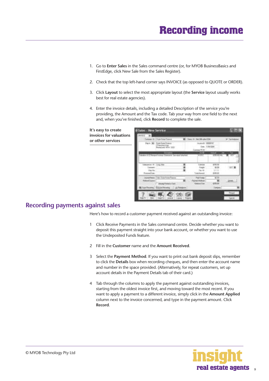- <span id="page-8-0"></span>1. Go to **Enter Sales** in the Sales command centre (or, for MYOB BusinessBasics and FirstEdge, click New Sale from the Sales Register).
- 2. Check that the top left-hand corner says INVOICE (as opposed to QUOTE or ORDER).
- 3. Click **Layout** to select the most appropriate layout (the **Service** layout usually works best for real estate agencies).
- 4. Enter the invoice details, including a detailed Description of the service you're providing, the Amount and the Tax code. Tab your way from one field to the next and, when you've finished, click **Record** to complete the sale.

**It's easy to create invoices for valuations or other services**



# **Recording payments against sales**

Here's how to record a customer payment received against an outstanding invoice:

- 1 Click Receive Payments in the Sales command centre. Decide whether you want to deposit this payment straight into your bank account, or whether you want to use the Undeposited Funds feature.
- 2 Fill in the **Customer** name and the **Amount Received**.
- 3 Select the **Payment Method**. If you want to print out bank deposit slips, remember to click the **Details** box when recording cheques, and then enter the account name and number in the space provided. (Alternatively, for repeat customers, set up account details in the Payment Details tab of their card.)
- 4 Tab through the columns to apply the payment against outstanding invoices, starting from the oldest invoice first, and moving toward the most recent. If you want to apply a payment to a different invoice, simply click in the **Amount Applied**  column next to the invoice concerned, and type in the payment amount. Click **Record**.

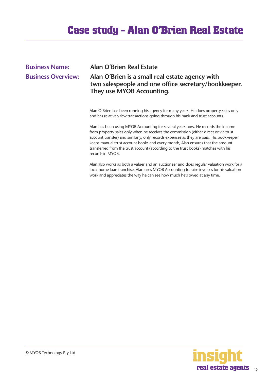# **Case study - Alan O'Brien Real Estate**

# <span id="page-9-0"></span>**Business Name: Alan O'Brien Real Estate Business Overview: Alan O'Brien is a small real estate agency with two salespeople and one office secretary/bookkeeper. They use MYOB Accounting.**

Alan O'Brien has been running his agency for many years. He does property sales only and has relatively few transactions going through his bank and trust accounts.

Alan has been using MYOB Accounting for several years now. He records the income from property sales only when he receives the commission (either direct or via trust account transfer) and similarly, only records expenses as they are paid. His bookkeeper keeps manual trust account books and every month, Alan ensures that the amount transferred from the trust account (according to the trust books) matches with his records in MYOB.

Alan also works as both a valuer and an auctioneer and does regular valuation work for a local home loan franchise. Alan uses MYOB Accounting to raise invoices for his valuation work and appreciates the way he can see how much he's owed at any time.

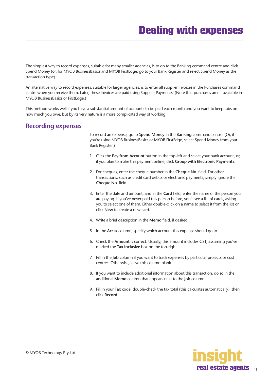<span id="page-10-0"></span>The simplest way to record expenses, suitable for many smaller agencies, is to go to the Banking command centre and click Spend Money (or, for MYOB BusinessBasics and MYOB FirstEdge, go to your Bank Register and select Spend Money as the transaction type).

An alternative way to record expenses, suitable for larger agencies, is to enter all supplier invoices in the Purchases command centre when you receive them. Later, these invoices are paid using Supplier Payments. (Note that purchases aren't available in MYOB BusinessBasics or FirstEdge.)

This method works well if you have a substantial amount of accounts to be paid each month and you want to keep tabs on how much you owe, but by its very nature is a more complicated way of working.

## **Recording expenses**

To record an expense, go to S**pend Money** in the **Banking** command centre. (Or, if you're using MYOB BusinessBasics or MYOB FirstEdge, select Spend Money from your Bank Register.)

- 1. Click the **Pay from Account** button in the top-left and select your bank account, or, if you plan to make this payment online, click **Group with Electronic Payments**.
- 2. For cheques, enter the cheque number in the **Cheque No.** field. For other transactions, such as credit card debits or electronic payments, simply ignore the **Cheque No.** field.
- 3. Enter the date and amount, and in the **Card** field, enter the name of the person you are paying. If you've never paid this person before, you'll see a list of cards, asking you to select one of them. Either double-click on a name to select it from the list or click **New** to create a new card.
- 4. Write a brief description in the **Memo** field, if desired.
- 5. In the **Acct#** column, specify which account this expense should go to.
- 6. Check the **Amount** is correct. Usually, this amount includes GST, assuming you've marked the **Tax Inclusive** box on the top-right.
- 7. Fill in the **Job** column if you want to track expenses by particular projects or cost centres. Otherwise, leave this column blank.
- 8. If you want to include additional information about this transaction, do so in the additional **Memo** column that appears next to the **Job** column.
- 9. Fill in your **Tax** code, double-check the tax total (this calculates automatically), then click **Record**.

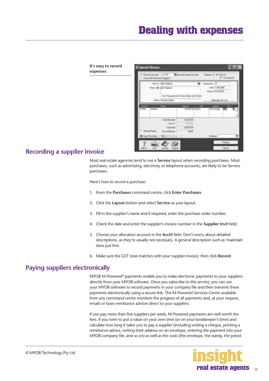<span id="page-11-0"></span>

| It's easy to record<br>expenses | <b>Spend Money</b>                                                 |                                                                    |                                                                                    |  |
|---------------------------------|--------------------------------------------------------------------|--------------------------------------------------------------------|------------------------------------------------------------------------------------|--|
|                                 | Farmkrown 11-119<br><b>Group with Electronic Passagers</b>         | <b>Billing of Dismon in</b>                                        | Search 4: APT/31522<br><b>W Technisis</b>                                          |  |
|                                 | Cat of GRC Nation<br>Paper 36 1441 Hallum<br>Manuel Monthly making | ×<br>Text Process and Freesy States and It Liets                   | <b>Dream No. 19</b><br>25 any (110 w/2004)<br>$e$ (3.1306.00)<br>(Danviet Po. Ltd. |  |
|                                 | <b>STATE OF</b><br>ー<br><b>Hallmark</b>                            | 1.12.8<br>TALE?<br>any.                                            | se:<br>E serio all'unus                                                            |  |
|                                 | del chicare di<br>U a Tu                                           | <b>SCIENTIS</b><br><b>CALLAGE</b><br><b>SCATTIE</b><br><b>BERK</b> | <b>Company</b>                                                                     |  |
|                                 |                                                                    |                                                                    | <b>Forget</b><br>diam'r.                                                           |  |

# **Recording a supplier invoice**

Most real estate agencies tend to use a **Service** layout when recording purchases. Most purchases, such as advertising, electricity or telephone accounts, are likely to be Service purchases.

Here's how to record a purchase:

- 1. From the **Purchases** command centre, click **Enter Purchases**.
- 2. Click the **Layout** button and select **Service** as your layout.
- 3. Fill in the supplier's name and if required, enter the purchase order number.
- 4. Check the date and enter the supplier's invoice number in the **Supplier Inv#** field.
- 5. Choose your allocation account in the **Acct#** field. Don't worry about detailed descriptions, as they're usually not necessary. A general description such as 'materials' does just fine.
- 6. Make sure the GST total matches with your supplier invoice; then click **Record**.

# **Paying suppliers electronically**

MYOB M-Powered<sup>®</sup> payments enable you to make electronic payments to your suppliers directly from your MYOB software. Once you subscribe to this service, you can use your MYOB software to record payments in your company file and then transmit these payments electronically using a secure link. The M-Powered Services Centre available from any command centre monitors the progress of all payments and, at your request, emails or faxes remittance advices direct to your suppliers.

If you pay more than five suppliers per week, M-Powered payments are well worth the fees. If you were to put a value on your own time (or on your bookkeeper's time) and calculate how long it takes you to pay a supplier (including writing a cheque, printing a remittance advice, writing their address on an envelope, entering the payment into your MYOB company file, and so on) as well as the costs (the envelope, the stamp, the petrol

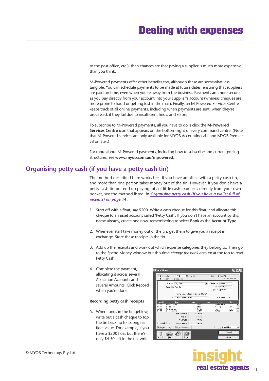<span id="page-12-0"></span>to the post office, etc.), then chances are that paying a supplier is much more expensive than you think.

M-Powered payments offer other benefits too, although these are somewhat less tangible. You can schedule payments to be made at future dates, ensuring that suppliers are paid on time, even when you're away from the business. Payments are more secure, as you pay directly from your account into your supplier's account (whereas cheques are more prone to fraud or getting lost in the mail). Finally, an M-Powered Services Centre keeps track of all online payments, including when payments are sent, when they're processed, if they fail due to insufficient finds, and so on.

To subscribe to M-Powered payments, all you have to do is click the **M-Powered Services Centre** icon that appears on the bottom-right of every command centre. (Note that M-Powered services are only available for MYOB Accounting v14 and MYOB Premier v8 or later.)

For more about M-Powered payments, including how to subscribe and current pricing structures, see **www.myob.com.au/mpowered**.

#### **Organising petty cash (if you have a petty cash tin)**

The method described here works best if you have an office with a petty cash tin, and more than one person takes money out of the tin. However, if you don't have a petty cash tin but end up paying lots of little cash expenses directly from your own pocket, see the method listed in *[Organising petty cash \(if you have a wallet full of](#page-13-0)  [receipts\) on page 14](#page-13-0)* .

- 1. Start off with a float, say \$200. Write a cash cheque for this float, and allocate this cheque to an asset account called 'Petty Cash'. If you don't have an account by this name already, create one now, remembering to select **Bank** as the **Account Type**.
- 2. Whenever staff take money out of the tin, get them to give you a receipt in exchange. Store these receipts in the tin.
- 3. Add up the receipts and work out which expense categories they belong to. Then go to the Spend Money window but this time *change the bank account* at the top to read Petty Cash.
- 4. Complete the payment, allocating it across several Allocation Accounts and several Amounts. Click **Record**  when you're done.

#### **Recording petty cash receipts**

5. When funds in the tin get low, write out a cash cheque to top the tin back up to its original float value. For example, if you have a \$200 float but there's only \$4.50 left in the tin, write



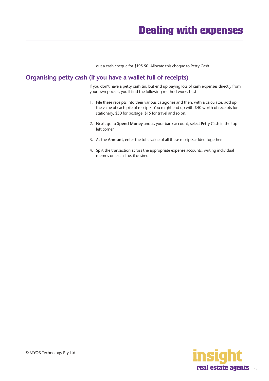out a cash cheque for \$195.50. Allocate this cheque to Petty Cash.

# <span id="page-13-0"></span>**Organising petty cash (if you have a wallet full of receipts)**

If you don't have a petty cash tin, but end up paying lots of cash expenses directly from your own pocket, you'll find the following method works best.

- 1. Pile these receipts into their various categories and then, with a calculator, add up the value of each pile of receipts. You might end up with \$40 worth of receipts for stationery, \$50 for postage, \$15 for travel and so on.
- 2. Next, go to **Spend Money** and as your bank account, select Petty Cash in the top left corner.
- 3. As the **Amount**, enter the total value of all these receipts added together.
- 4. Split the transaction across the appropriate expense accounts, writing individual memos on each line, if desired.

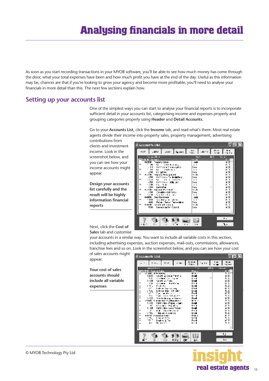<span id="page-14-0"></span>As soon as you start recording transactions in your MYOB software, you'll be able to see how much money has come through the door, what your total expenses have been and how much profit you have at the end of the day. Useful as this information may be, chances are that if you're looking to grow your agency and become more profitable, you'll need to analyse your financials in more detail than this. The next few sections explain how.

#### **Setting up your accounts list**

One of the simplest ways you can start to analyse your financial reports is to incorporate sufficient detail in your accounts list, categorising income and expenses properly and grouping categories properly using **Header** and **Detail Accounts**.

Go to your **Accounts List**, click the **Income** tab, and read what's there. Most real estate agents divide their income into property sales, property management, advertising

contributions from clients and investment income. Look in the screenshot below, and you can see how your income accounts might appear.

**Design your accounts list carefully and the result will be highly information financial reports**



Next, click the **Cost of Sales** tab and customise

your accounts in a similar way. You want to include all variable costs in this section, including advertising expenses, auction expenses, mail-outs, commissions, allowances, franchise fees and so on. Look in the screenshot below, and you can see how your cost

of sales accounts might appear.

**Your cost of sales accounts should include all variable expenses**



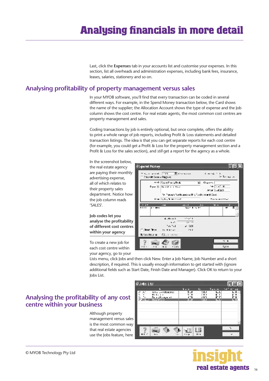Last, click the **Expenses** tab in your accounts list and customise your expenses. In this section, list all overheads and administration expenses, including bank fees, insurance, leases, salaries, stationery and so on.

## <span id="page-15-0"></span>**Analysing profitability of property management versus sales**

In your MYOB software, you'll find that every transaction can be coded in several different ways. For example, in the Spend Money transaction below, the Card shows the name of the supplier; the Allocation Account shows the type of expense and the Job column shows the cost centre. For real estate agents, the most common cost centres are property management and sales.

Coding transactions by job is entirely optional, but once complete, offers the ability to print a whole range of job reports, including Profit & Loss statements and detailed transaction listings. The idea is that you can get separate reports for each cost centre (for example, you could get a Profit & Loss for the property management section and a Profit & Loss for the sales section), and *still* get a report for the agency as a whole.

**Copend Money** 

In the screenshot below, the real estate agency are paying their monthly advertising expense, all of which relates to their property sales department. Notice how the job column reads 'SALES'.

**Job codes let you analyse the profitability of different cost centres within your agency**

To create a new job for each cost centre within your agency, go to your

 $\begin{array}{l} \mathbf{C} \left( \mathbf{r} \right) \cdot \mathbf{d} \left( \mathbf{r} \right) \\ \mathbf{d} \left( \mathbf{r} \right) \cdot \mathbf{d} \left( \mathbf{r} \right) \\ \mathbf{d} \left( \mathbf{r} \right) \cdot \mathbf{d} \left( \mathbf{r} \right) \end{array}$ Sistema of The ى بىرى بىرا 3 **Countries of Replies** with  $\mathbb{E}_{\mathbb{P}^2}$  with a split all v. **Charge I** Pearls | Report of the **Sulface of** Anan (skitao) Tell Treative Tour Business in the Tub Do in met Cover Main Technology was elected Madagasan  $\sim$   $\sim$ ang.<br>Mga m.  $\overline{\phantom{a}}$  $4.4111$  $\overline{\cdots}$  $\sim$   $\sim$  $14 - 7$ - 200 ta tu **F. Aug. Br. et General**  $\sim$ (E) Secrition re-**POLICIAN**  $\overline{\phantom{a}}$ Đ, 临 l. **Gra**  $-1111$  $\mathbf{h}$ 

Lists menu, click Jobs and then click New. Enter a Job Name, Job Number and a short description, if required. This is usually enough information to get started with (ignore additional fields such as Start Date, Finish Date and Manager). Click OK to return to your Jobs List.

## **Analysing the profitability of any cost centre within your business**

Although property management versus sales is the most common way that real estate agencies use the Jobs feature, here





 $\blacksquare$   $\blacksquare$   $\times$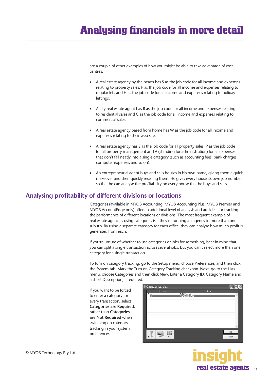# <span id="page-16-0"></span>**Analysing financials in more detail**

are a couple of other examples of how you might be able to take advantage of cost centres:

- A real estate agency by the beach has S as the job code for all income and expenses relating to property sales; P as the job code for all income and expenses relating to regular lets and H as the job code for all income and expenses relating to holiday lettings.
- A city real estate agent has R as the job code for all income and expenses relating to residential sales and C as the job code for all income and expenses relating to commercial sales.
- A real estate agency based from home has W as the job code for all income and expenses relating to their web site.
- A real estate agency has S as the job code for all property sales; P as the job code for all property management and A (standing for administration) for all expenses that don't fall neatly into a single category (such as accounting fees, bank charges, computer expenses and so on).
- An entrepreneurial agent buys and sells houses in his own name, giving them a quick makeover and then quickly reselling them. He gives every house its own job number so that he can analyse the profitability on every house that he buys and sells.

#### **Analysing profitability of different divisions or locations**

Categories (available in MYOB Accounting, MYOB Accounting Plus, MYOB Premier and MYOB AccountEdge only) offer an additional level of analysis and are ideal for tracking the performance of different locations or divisions. The most frequent example of real estate agencies using categories is if they're running an agency in more than one suburb. By using a separate category for each office, they can analyse how much profit is generated from each.

If you're unsure of whether to use categories or jobs for something, bear in mind that you can split a single transaction across several jobs, but you can't select more than one category for a single transaction.

To turn on category tracking, go to the Setup menu, choose Preferences, and then click the System tab. Mark the Turn on Category Tracking checkbox. Next, go to the Lists menu, choose Categories and then click New. Enter a Category ID, Category Name and a short Description, if required.

If you want to be forced to enter a category for every transaction, select **Categories are Required**, rather than **Categories are Not Required** when switching on category tracking in your system preferences.

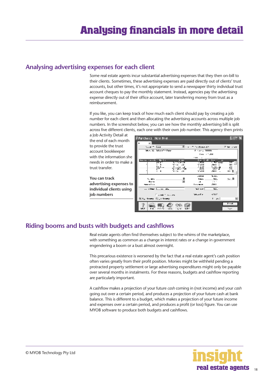## <span id="page-17-0"></span>**Analysing advertising expenses for each client**

Some real estate agents incur substantial advertising expenses that they then on-bill to their clients. Sometimes, these advertising expenses are paid directly out of clients' trust accounts, but other times, it's not appropriate to send a newspaper thirty individual trust account cheques to pay the monthly statement. Instead, agencies pay the advertising expense directly out of their office account, later transferring money from trust as a reimbursement.

If you like, you can keep track of how much each client should pay by creating a job number for each client and then allocating the advertising accounts across multiple job numbers. In the screenshot below, you can see how the monthly advertising bill is split across five different clients, each one with their own job number. This agency then prints

a Job Activity Detail at the end of each month to provide the trust account bookkeeper with the information she needs in order to make a trust transfer.

**You can track advertising expenses to individual clients using job numbers**

| P Purchases New Hein      |                            |                                         |                      |                          |                         |
|---------------------------|----------------------------|-----------------------------------------|----------------------|--------------------------|-------------------------|
|                           |                            |                                         |                      |                          |                         |
| $1.1.7 - 1.0.7$           |                            | $\mathbf{r}$                            | The Marie AN         |                          | Pile over               |
|                           | World Most Have            |                                         | <b>Financial WWW</b> |                          |                         |
|                           |                            |                                         | Text 10,000          |                          |                         |
|                           |                            |                                         |                      |                          |                         |
| Surro con che             | <b>Fili</b>                | <b>S 181</b>                            | $km + 1$             | $\mathbf{u}$<br>п        |                         |
| ٠                         | সম                         | 7. TV 6134                              | .85                  | - 77 ww                  | я                       |
|                           |                            | 93 H.H                                  | AND HIS              | -2011 -                  | D١                      |
|                           | シルベルー<br>5m                | المدار الأمروز والر<br>To a Select Tele | 2.200<br>- anni      | A Wallenberg<br>-1117-18 | ۰.۱                     |
|                           | $\ddot{\phantom{0}}$       | 71 G. AL                                | <b>AND ID</b>        | <b>SULL</b> .            | 19 X                    |
|                           |                            |                                         | الافتتاح             | www.                     |                         |
| Se anno                   |                            |                                         | <b>Index</b>         | WA.                      | 人民                      |
| <b>Gunu</b>               |                            |                                         | $\cdot$ .            | 21.1                     |                         |
| ----                      |                            |                                         | <b>Listens</b>       | 50011                    |                         |
|                           | the allows has no index    |                                         | <b>NA</b> West       | w.                       |                         |
|                           | Forest County              |                                         | <b>Months</b>        | oreen.                   |                         |
| 00 Kg Kasang 80 Ja Kasang |                            |                                         |                      | $1 - \mu$ .              | ы                       |
| L+.r<br>$\mathbf{r}$      | $2.11 - 7.2$<br><b>SPA</b> | <b>A</b> F<br>₩                         |                      |                          | <b>Ford</b><br>The pro- |

# **Riding booms and busts with budgets and cashflows**

Real estate agents often find themselves subject to the whims of the marketplace, with something as common as a change in interest rates or a change in government engendering a boom or a bust almost overnight.

This precarious existence is worsened by the fact that a real estate agent's cash position often varies greatly from their profit position. Monies might be withheld pending a protracted property settlement or large advertising expenditures might only be payable over several months in instalments. For these reasons, budgets and cashflow reporting are particularly important.

A cashflow makes a projection of your future *cash* coming in (not income) and your *cash* going out over a certain period, and produces a projection of your future cash at bank balance. This is different to a budget, which makes a projection of your future income and expenses over a certain period, and produces a profit (or loss) figure. You can use MYOB software to produce both budgets and cashflows.

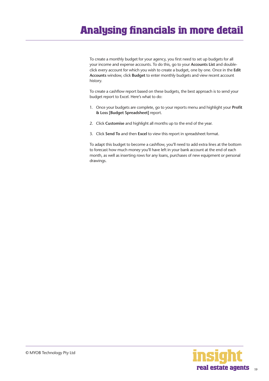# **Analysing financials in more detail**

To create a monthly budget for your agency, you first need to set up budgets for all your income and expense accounts. To do this, go to your **Accounts List** and doubleclick every account for which you wish to create a budget, one by one. Once in the **Edit Accounts** window, click **Budget** to enter monthly budgets and view recent account history.

To create a cashflow report based on these budgets, the best approach is to send your budget report to Excel. Here's what to do:

- 1. Once your budgets are complete, go to your reports menu and highlight your **Profit & Loss [Budget Spreadsheet]** report.
- 2. Click **Customise** and highlight all months up to the end of the year.
- 3. Click **Send To** and then **Excel** to view this report in spreadsheet format.

To adapt this budget to become a cashflow, you'll need to add extra lines at the bottom to forecast how much money you'll have left in your bank account at the end of each month, as well as inserting rows for any loans, purchases of new equipment or personal drawings.

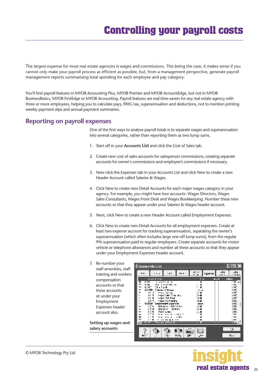<span id="page-19-0"></span>The largest expense for most real estate agencies is wages and commissions. This being the case, it makes sense if you cannot only make your payroll process as efficient as possible, but, from a management perspective, generate payroll management reports summarising total spending for each employee and pay category.

You'll find payroll features in MYOB Accounting Plus, MYOB Premier and MYOB AccountEdge, but not in MYOB BusinessBasics, MYOB FirstEdge or MYOB Accounting. Payroll features are real time-savers for any real estate agency with three or more employees, helping you to calculate pays, PAYG tax, superannuation and deductions, not to mention printing weekly payment slips and annual payment summaries.

## **Reporting on payroll expenses**

One of the first ways to analyse payroll totals is to separate wages and superannuation into several categories, rather than reporting them as two lump sums.

- 1. Start off in your **Accounts List** and click the Cost of Sales tab.
- 2. Create new cost of sales accounts for salesperson commissions, creating separate accounts for owner's commissions and employee's commissions if necessary.
- 3. Now click the Expenses tab in your Accounts List and click New to create a new Header Account called Salaries & Wages.
- 4. Click New to create new Detail Accounts for each major wages category in your agency. For example, you might have four accounts: Wages Directors, Wages Sales Consultants, Wages Front Desk and Wages Bookkeeping. Number these new accounts so that they appear under your Salaries & Wages header account.
- 5. Next, click New to create a new Header Account called Employment Expenses.
- 6. Click New to create new Detail Accounts for all employment expenses. Create at least two expense account for tracking superannuation, separating the owner's superannuation (which often includes large one-off lump sums), from the regular 9% superannuation paid to regular employees. Create separate accounts for motor vehicle or telephone allowances and number all these accounts so that they appear under your Employment Expenses header account.

| Re-number your<br>7.   | <b><i>C Accounts List</i></b>                                    |                |
|------------------------|------------------------------------------------------------------|----------------|
| staff amenities, staff |                                                                  | -±н            |
| training and workers   | $1 - 1$<br>r pitu<br>$\cdots$<br>$\epsilon - \epsilon$           | æ<br>Lassine   |
| compensation           | Asset African<br>.<br>-<br>K 19                                  | F<br>ι×<br>上火车 |
| accounts so that       | Maria da Maria<br>6.IYU<br>Tala Papila                           |                |
| these accounts         | G-2100 Coloine V Wagner<br>ኑን በ                                  |                |
| sit under your         | <b>Company Solar Company Arts</b><br>W Y<br>v Y<br>weer handled: |                |
| Employment             | wage: Josef award<br>法不决<br>Ling-keymark Lagurited<br>62150      | <b>IKK</b>     |
| Expenses header        | 3 F SL<br>Albustrace Holenteiner,<br>25 M<br>Albustres skohers   |                |
| account also.          | 85 A.<br>Nata Casa<br>$\cdots$<br>۰.,<br>.                       |                |
|                        | ▫                                                                |                |
| Setting up wages and   | and the spinster of the<br>тара убици в                          |                |
| salary accounts        |                                                                  |                |
|                        | l۳<br>п.ту.                                                      |                |



<u>minis</u> ╦

 $\mathbf{u}$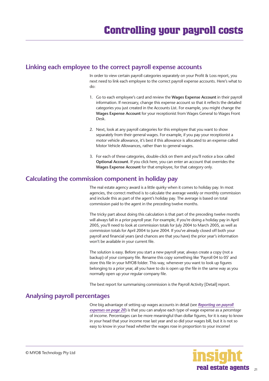## <span id="page-20-0"></span>**Linking each employee to the correct payroll expense accounts**

In order to view certain payroll categories separately on your Profit & Loss report, you next need to link each employee to the correct payroll expense accounts. Here's what to do:

- 1. Go to each employee's card and review the **Wages Expense Account** in their payroll information. If necessary, change this expense account so that it reflects the detailed categories you just created in the Accounts List. For example, you might change the **Wages Expense Account** for your receptionist from Wages General to Wages Front Desk.
- 2. Next, look at any payroll categories for this employee that you want to show separately from their general wages. For example, if you pay your receptionist a motor vehicle allowance, it's best if this allowance is allocated to an expense called Motor Vehicle Allowances, rather than to general wages.
- 3. For each of these categories, double-click on them and you'll notice a box called **Optional Account**. If you click here, you can enter an account that overrides the **Wages Expense Account** for that employee, for that category only.

## **Calculating the commission component in holiday pay**

The real estate agency award is a little quirky when it comes to holiday pay. In most agencies, the correct method is to calculate the average weekly or monthly commission and include this as part of the agent's holiday pay. The average is based on total commission paid to the agent in the preceding twelve months.

The tricky part about doing this calculation is that part of the preceding twelve months will always fall in a prior payroll year. For example, if you're doing a holiday pay in April 2005, you'll need to look at commission totals for July 2004 to March 2005, as well as commission totals for April 2004 to June 2004. If you've already closed off both your payroll and financial years (and chances are that you have) the prior year's information won't be available in your current file.

The solution is easy. Before you start a new payroll year, always create a copy (not a backup) of your company file. Rename this copy something like 'Payroll 04 to 05' and store this file in your MYOB folder. This way, whenever you want to look up figures belonging to a prior year, all you have to do is open up the file in the same way as you normally open up your regular company file.

The best report for summarising commission is the Payroll Activity [Detail] report.

# **Analysing payroll percentages**

One big advantage of setting up wages accounts in detail (see *[Reporting on payroll](#page-19-0)  [expenses on page 20](#page-19-0)*) is that you can analyse each type of wage expense as a *percentage*  of income. Percentages can be more meaningful than dollar figures, for it is easy to know in your head that your income rose last year and so did your wages bill, but it is not so easy to know in your head whether the wages rose in proportion to your income!

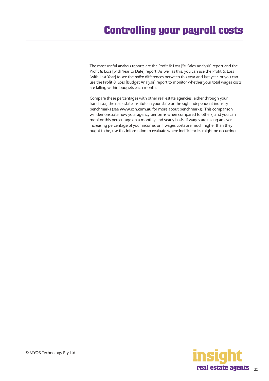The most useful analysis reports are the Profit & Loss [% Sales Analysis] report and the Profit & Loss [with Year to Date] report. As well as this, you can use the Profit & Loss [with Last Year] to see the *dollar* differences between this year and last year, or you can use the Profit & Loss [Budget Analysis] report to monitor whether your total wages costs are falling within budgets each month.

Compare these percentages with other real estate agencies, either through your franchisor, the real estate institute in your state or through independent industry benchmarks (see **www.cch.com.au** for more about benchmarks). This comparison will demonstrate how your agency performs when compared to others, and you can monitor this percentage on a monthly and yearly basis. If wages are taking an ever increasing percentage of your income, or if wages costs are much higher than they ought to be, use this information to evaluate where inefficiencies might be occurring.

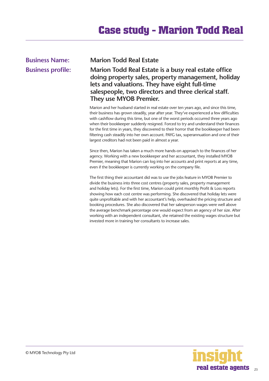# <span id="page-22-0"></span>**Business Name: Marion Todd Real Estate**

**Business profile: Marion Todd Real Estate is a busy real estate office doing property sales, property management, holiday lets and valuations. They have eight full-time salespeople, two directors and three clerical staff. They use MYOB Premier.**

> Marion and her husband started in real estate over ten years ago, and since this time, their business has grown steadily, year after year. They've experienced a few difficulties with cashflow during this time, but one of the worst periods occurred three years ago when their bookkeeper suddenly resigned. Forced to try and understand their finances for the first time in years, they discovered to their horror that the bookkeeper had been filtering cash steadily into her own account. PAYG tax, superannuation and one of their largest creditors had not been paid in almost a year.

Since then, Marion has taken a much more hands-on approach to the finances of her agency. Working with a new bookkeeper and her accountant, they installed MYOB Premier, meaning that Marion can log into her accounts and print reports at any time, even if the bookkeeper is currently working on the company file.

The first thing their accountant did was to use the jobs feature in MYOB Premier to divide the business into three cost centres (property sales, property management and holiday lets). For the first time, Marion could print monthly Profit & Loss reports showing how each cost centre was performing. She discovered that holiday lets were quite unprofitable and with her accountant's help, overhauled the pricing structure and booking procedures. She also discovered that her salesperson wages were well above the average benchmark percentage one would expect from an agency of her size. After working with an independent consultant, she retained the existing wages structure but invested more in training her consultants to increase sales.

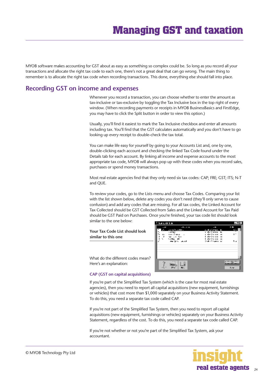<span id="page-23-0"></span>MYOB software makes accounting for GST about as easy as something so complex could be. So long as you record all your transactions and allocate the right tax code to each one, there's not a great deal that can go wrong. The main thing to remember is to allocate the right tax code when recording transactions. This done, everything else should fall into place.

## **Recording GST on income and expenses**

Whenever you record a transaction, you can choose whether to enter the amount as tax-inclusive or tax-exclusive by toggling the Tax Inclusive box in the top right of every window. (When recording payments or receipts in MYOB BusinessBasics and FirstEdge, you may have to click the Split button in order to view this option.)

Usually, you'll find it easiest to mark the Tax Inclusive checkbox and enter all amounts including tax. You'll find that the GST calculates automatically and you don't have to go looking up every receipt to double-check the tax total.

You can make life easy for yourself by going to your Accounts List and, one by one, double-clicking each account and checking the linked Tax Code found under the Details tab for each account. By linking all income and expense accounts to the most appropriate tax code, MYOB will always pop up with these codes when you record sales, purchases or spend money transactions.

Most real estate agencies find that they only need six tax codes: CAP; FRE; GST; ITS; N-T and QUE.

To review your codes, go to the Lists menu and choose Tax Codes. Comparing your list with the list shown below, delete any codes you don't need (they'll only serve to cause confusion) and add any codes that are missing. For all tax codes, the Linked Account for Tax Collected should be GST Collected from Sales and the Linked Account for Tax Paid should be GST Paid on Purchases. Once you're finished, your tax code list should look similar to the one below:

**Your Tax Code List should look similar to this one**



What do the different codes mean? Here's an explanation:

#### **CAP (GST on capital acquisitions)**

If you're part of the Simplified Tax System (which is the case for most real estate agencies), then you need to report all capital acquisitions (new equipment, furnishings or vehicles) that cost more than \$1,000 separately on your Business Activity Statement. To do this, you need a separate tax code called CAP.

If you're not part of the Simplified Tax System, then you need to report *all* capital acquisitions (new equipment, furnishings or vehicles) separately on your Business Activity Statement, regardless of the cost. To do this, you need a separate tax code called CAP.

If you're not whether or not you're part of the Simplified Tax System, ask your accountant.

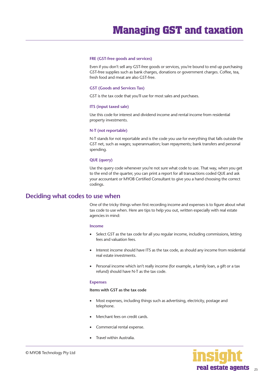#### <span id="page-24-0"></span>**FRE (GST-free goods and services)**

Even if you don't sell any GST-free goods or services, you're bound to end up purchasing GST-free supplies such as bank charges, donations or government charges. Coffee, tea, fresh food and meat are also GST-free.

#### **GST (Goods and Services Tax)**

GST is the tax code that you'll use for most sales and purchases.

#### **ITS (input taxed sale)**

Use this code for interest and dividend income and rental income from residential property investments.

#### **N-T (not reportable)**

N-T stands for not reportable and is the code you use for everything that falls outside the GST net, such as wages; superannuation; loan repayments; bank transfers and personal spending.

#### **QUE (query)**

Use the query code whenever you're not sure what code to use. That way, when you get to the end of the quarter, you can print a report for all transactions coded QUE and ask your accountant or MYOB Certified Consultant to give you a hand choosing the correct codings.

#### **Deciding what codes to use when**

One of the tricky things when first recording income and expenses is to figure about what tax code to use when. Here are tips to help you out, written especially with real estate agencies in mind:

#### **Income**

- Select GST as the tax code for all you regular income, including commissions, letting fees and valuation fees.
- Interest income should have ITS as the tax code, as should any income from residential real estate investments.
- Personal income which isn't really income (for example, a family loan, a gift or a tax refund) should have N-T as the tax code.

#### **Expenses**

#### **Items with GST as the tax code**

- Most expenses, including things such as advertising, electricity, postage and telephone.
- Merchant fees on credit cards.
- Commercial rental expense.
- Travel within Australia.